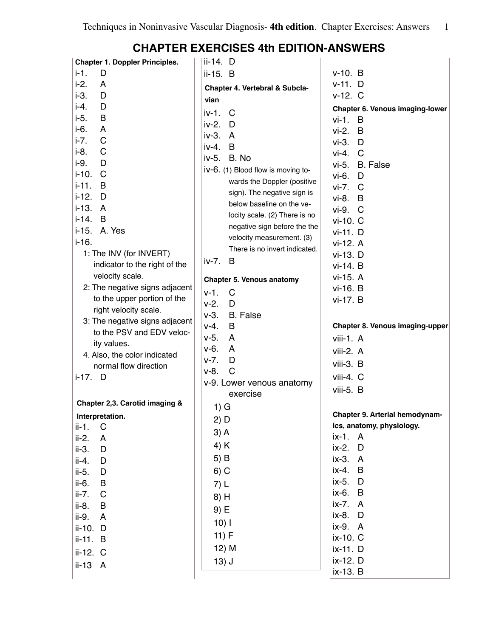| $i-1$ .<br>$v-10. B$<br>D<br>ii-15. B<br>$i-2$ .<br>$v-11.$ D<br>A<br>Chapter 4. Vertebral & Subcla-<br>$i-3.$<br>D<br>$v-12.$ C<br>vian<br>i-4.<br>D<br>Chapter 6. Venous imaging-lower<br>iv-1.<br>C<br>$i-5.$<br>B<br>$vi-1. B$<br>$iv-2.$ D<br>$i-6.$<br>A<br>$vi-2. B$<br>iv-3. A<br>$\mathsf C$<br>$i-7.$<br>$vi-3.$ $D$<br>iv-4.<br>B<br>$i-8.$<br>$\mathsf C$<br>$vi-4.$ $C$<br>iv-5. B. No<br>i-9.<br>D<br>vi-5. B. False<br>iv-6. (1) Blood flow is moving to-<br>$i-10.$<br>$\mathsf C$<br>vi-6.<br>D<br>wards the Doppler (positive<br>$i-11$ .<br>B<br>vi-7. C<br>sign). The negative sign is<br>$i-12.$ D<br>vi-8. B<br>below baseline on the ve-<br>i-13. A<br>vi-9. C<br>locity scale. (2) There is no<br>$i-14. B$<br>vi-10. C<br>negative sign before the the<br>i-15. A. Yes<br>vi-11. D<br>velocity measurement. (3)<br>$i - 16.$<br>vi-12. A<br>There is no invert indicated.<br>1: The INV (for INVERT)<br>vi-13. D<br>iv-7.<br>B<br>indicator to the right of the<br>vi-14. B<br>velocity scale.<br>vi-15. A<br><b>Chapter 5. Venous anatomy</b><br>2: The negative signs adjacent<br>vi-16. B<br>$\mathsf{C}$<br>$v-1$ .<br>to the upper portion of the<br>vi-17. B<br>$v-2.$<br>D<br>right velocity scale.<br>$v-3.$<br><b>B.</b> False<br>3: The negative signs adjacent<br>B<br>$V-4.$<br>Chapter 8. Venous imaging-upper<br>to the PSV and EDV veloc-<br>$v-5.$<br>A<br>viii-1. A<br>ity values.<br>$v-6.$<br>$\mathsf{A}$<br>viii-2. A<br>4. Also, the color indicated<br>$v-7.$<br>D<br>viii-3. B<br>normal flow direction<br>$\mathsf{C}$<br>$v-8.$<br>$i-17.$ D<br>viii-4. C<br>v-9. Lower venous anatomy<br>viii-5. B<br>exercise<br>Chapter 2,3. Carotid imaging &<br>1) G<br><b>Chapter 9. Arterial hemodynam-</b><br>Interpretation.<br>2) D<br>ics, anatomy, physiology.<br>ii-1. C<br>$3)$ A<br>ix-1. A<br>$ii-2.$<br>A<br>4) K<br>ix-2. D<br>ii-3.<br>D<br>5) B<br>ix-3. A<br>ii-4.<br>D<br>ix-4.<br>B<br>$6)$ C<br>ii-5.<br>D<br>ix-5.<br>$\mathsf{D}$<br>ii-6.<br>B<br>7) L<br>ix-6. B<br>$\mathbf C$<br>ii-7.<br>8) H<br>ix-7. A<br>ii-8.<br>B<br>9) E<br>ix-8. D<br>ii-9.<br>A<br>$10)$ l<br>ix-9. A<br>ii-10. D<br>11) F<br>ix-10. C<br>ii-11. B<br>12) M<br>ix-11. D<br>ii-12. C<br>ix-12. D<br>$13)$ J<br>ii-13 A<br>ix-13. B | <b>Chapter 1. Doppler Principles.</b> | $ii-14.$ D |  |
|-----------------------------------------------------------------------------------------------------------------------------------------------------------------------------------------------------------------------------------------------------------------------------------------------------------------------------------------------------------------------------------------------------------------------------------------------------------------------------------------------------------------------------------------------------------------------------------------------------------------------------------------------------------------------------------------------------------------------------------------------------------------------------------------------------------------------------------------------------------------------------------------------------------------------------------------------------------------------------------------------------------------------------------------------------------------------------------------------------------------------------------------------------------------------------------------------------------------------------------------------------------------------------------------------------------------------------------------------------------------------------------------------------------------------------------------------------------------------------------------------------------------------------------------------------------------------------------------------------------------------------------------------------------------------------------------------------------------------------------------------------------------------------------------------------------------------------------------------------------------------------------------------------------------------------------------------------------------------------------------------------------------------------------------------------------------------------------------------------------------------------------------------------------------------------------------------------------------------------------------------------------------------------|---------------------------------------|------------|--|
|                                                                                                                                                                                                                                                                                                                                                                                                                                                                                                                                                                                                                                                                                                                                                                                                                                                                                                                                                                                                                                                                                                                                                                                                                                                                                                                                                                                                                                                                                                                                                                                                                                                                                                                                                                                                                                                                                                                                                                                                                                                                                                                                                                                                                                                                             |                                       |            |  |
|                                                                                                                                                                                                                                                                                                                                                                                                                                                                                                                                                                                                                                                                                                                                                                                                                                                                                                                                                                                                                                                                                                                                                                                                                                                                                                                                                                                                                                                                                                                                                                                                                                                                                                                                                                                                                                                                                                                                                                                                                                                                                                                                                                                                                                                                             |                                       |            |  |
|                                                                                                                                                                                                                                                                                                                                                                                                                                                                                                                                                                                                                                                                                                                                                                                                                                                                                                                                                                                                                                                                                                                                                                                                                                                                                                                                                                                                                                                                                                                                                                                                                                                                                                                                                                                                                                                                                                                                                                                                                                                                                                                                                                                                                                                                             |                                       |            |  |
|                                                                                                                                                                                                                                                                                                                                                                                                                                                                                                                                                                                                                                                                                                                                                                                                                                                                                                                                                                                                                                                                                                                                                                                                                                                                                                                                                                                                                                                                                                                                                                                                                                                                                                                                                                                                                                                                                                                                                                                                                                                                                                                                                                                                                                                                             |                                       |            |  |
|                                                                                                                                                                                                                                                                                                                                                                                                                                                                                                                                                                                                                                                                                                                                                                                                                                                                                                                                                                                                                                                                                                                                                                                                                                                                                                                                                                                                                                                                                                                                                                                                                                                                                                                                                                                                                                                                                                                                                                                                                                                                                                                                                                                                                                                                             |                                       |            |  |
|                                                                                                                                                                                                                                                                                                                                                                                                                                                                                                                                                                                                                                                                                                                                                                                                                                                                                                                                                                                                                                                                                                                                                                                                                                                                                                                                                                                                                                                                                                                                                                                                                                                                                                                                                                                                                                                                                                                                                                                                                                                                                                                                                                                                                                                                             |                                       |            |  |
|                                                                                                                                                                                                                                                                                                                                                                                                                                                                                                                                                                                                                                                                                                                                                                                                                                                                                                                                                                                                                                                                                                                                                                                                                                                                                                                                                                                                                                                                                                                                                                                                                                                                                                                                                                                                                                                                                                                                                                                                                                                                                                                                                                                                                                                                             |                                       |            |  |
|                                                                                                                                                                                                                                                                                                                                                                                                                                                                                                                                                                                                                                                                                                                                                                                                                                                                                                                                                                                                                                                                                                                                                                                                                                                                                                                                                                                                                                                                                                                                                                                                                                                                                                                                                                                                                                                                                                                                                                                                                                                                                                                                                                                                                                                                             |                                       |            |  |
|                                                                                                                                                                                                                                                                                                                                                                                                                                                                                                                                                                                                                                                                                                                                                                                                                                                                                                                                                                                                                                                                                                                                                                                                                                                                                                                                                                                                                                                                                                                                                                                                                                                                                                                                                                                                                                                                                                                                                                                                                                                                                                                                                                                                                                                                             |                                       |            |  |
|                                                                                                                                                                                                                                                                                                                                                                                                                                                                                                                                                                                                                                                                                                                                                                                                                                                                                                                                                                                                                                                                                                                                                                                                                                                                                                                                                                                                                                                                                                                                                                                                                                                                                                                                                                                                                                                                                                                                                                                                                                                                                                                                                                                                                                                                             |                                       |            |  |
|                                                                                                                                                                                                                                                                                                                                                                                                                                                                                                                                                                                                                                                                                                                                                                                                                                                                                                                                                                                                                                                                                                                                                                                                                                                                                                                                                                                                                                                                                                                                                                                                                                                                                                                                                                                                                                                                                                                                                                                                                                                                                                                                                                                                                                                                             |                                       |            |  |
|                                                                                                                                                                                                                                                                                                                                                                                                                                                                                                                                                                                                                                                                                                                                                                                                                                                                                                                                                                                                                                                                                                                                                                                                                                                                                                                                                                                                                                                                                                                                                                                                                                                                                                                                                                                                                                                                                                                                                                                                                                                                                                                                                                                                                                                                             |                                       |            |  |
|                                                                                                                                                                                                                                                                                                                                                                                                                                                                                                                                                                                                                                                                                                                                                                                                                                                                                                                                                                                                                                                                                                                                                                                                                                                                                                                                                                                                                                                                                                                                                                                                                                                                                                                                                                                                                                                                                                                                                                                                                                                                                                                                                                                                                                                                             |                                       |            |  |
|                                                                                                                                                                                                                                                                                                                                                                                                                                                                                                                                                                                                                                                                                                                                                                                                                                                                                                                                                                                                                                                                                                                                                                                                                                                                                                                                                                                                                                                                                                                                                                                                                                                                                                                                                                                                                                                                                                                                                                                                                                                                                                                                                                                                                                                                             |                                       |            |  |
|                                                                                                                                                                                                                                                                                                                                                                                                                                                                                                                                                                                                                                                                                                                                                                                                                                                                                                                                                                                                                                                                                                                                                                                                                                                                                                                                                                                                                                                                                                                                                                                                                                                                                                                                                                                                                                                                                                                                                                                                                                                                                                                                                                                                                                                                             |                                       |            |  |
|                                                                                                                                                                                                                                                                                                                                                                                                                                                                                                                                                                                                                                                                                                                                                                                                                                                                                                                                                                                                                                                                                                                                                                                                                                                                                                                                                                                                                                                                                                                                                                                                                                                                                                                                                                                                                                                                                                                                                                                                                                                                                                                                                                                                                                                                             |                                       |            |  |
|                                                                                                                                                                                                                                                                                                                                                                                                                                                                                                                                                                                                                                                                                                                                                                                                                                                                                                                                                                                                                                                                                                                                                                                                                                                                                                                                                                                                                                                                                                                                                                                                                                                                                                                                                                                                                                                                                                                                                                                                                                                                                                                                                                                                                                                                             |                                       |            |  |
|                                                                                                                                                                                                                                                                                                                                                                                                                                                                                                                                                                                                                                                                                                                                                                                                                                                                                                                                                                                                                                                                                                                                                                                                                                                                                                                                                                                                                                                                                                                                                                                                                                                                                                                                                                                                                                                                                                                                                                                                                                                                                                                                                                                                                                                                             |                                       |            |  |
|                                                                                                                                                                                                                                                                                                                                                                                                                                                                                                                                                                                                                                                                                                                                                                                                                                                                                                                                                                                                                                                                                                                                                                                                                                                                                                                                                                                                                                                                                                                                                                                                                                                                                                                                                                                                                                                                                                                                                                                                                                                                                                                                                                                                                                                                             |                                       |            |  |
|                                                                                                                                                                                                                                                                                                                                                                                                                                                                                                                                                                                                                                                                                                                                                                                                                                                                                                                                                                                                                                                                                                                                                                                                                                                                                                                                                                                                                                                                                                                                                                                                                                                                                                                                                                                                                                                                                                                                                                                                                                                                                                                                                                                                                                                                             |                                       |            |  |
|                                                                                                                                                                                                                                                                                                                                                                                                                                                                                                                                                                                                                                                                                                                                                                                                                                                                                                                                                                                                                                                                                                                                                                                                                                                                                                                                                                                                                                                                                                                                                                                                                                                                                                                                                                                                                                                                                                                                                                                                                                                                                                                                                                                                                                                                             |                                       |            |  |
|                                                                                                                                                                                                                                                                                                                                                                                                                                                                                                                                                                                                                                                                                                                                                                                                                                                                                                                                                                                                                                                                                                                                                                                                                                                                                                                                                                                                                                                                                                                                                                                                                                                                                                                                                                                                                                                                                                                                                                                                                                                                                                                                                                                                                                                                             |                                       |            |  |
|                                                                                                                                                                                                                                                                                                                                                                                                                                                                                                                                                                                                                                                                                                                                                                                                                                                                                                                                                                                                                                                                                                                                                                                                                                                                                                                                                                                                                                                                                                                                                                                                                                                                                                                                                                                                                                                                                                                                                                                                                                                                                                                                                                                                                                                                             |                                       |            |  |
|                                                                                                                                                                                                                                                                                                                                                                                                                                                                                                                                                                                                                                                                                                                                                                                                                                                                                                                                                                                                                                                                                                                                                                                                                                                                                                                                                                                                                                                                                                                                                                                                                                                                                                                                                                                                                                                                                                                                                                                                                                                                                                                                                                                                                                                                             |                                       |            |  |
|                                                                                                                                                                                                                                                                                                                                                                                                                                                                                                                                                                                                                                                                                                                                                                                                                                                                                                                                                                                                                                                                                                                                                                                                                                                                                                                                                                                                                                                                                                                                                                                                                                                                                                                                                                                                                                                                                                                                                                                                                                                                                                                                                                                                                                                                             |                                       |            |  |
|                                                                                                                                                                                                                                                                                                                                                                                                                                                                                                                                                                                                                                                                                                                                                                                                                                                                                                                                                                                                                                                                                                                                                                                                                                                                                                                                                                                                                                                                                                                                                                                                                                                                                                                                                                                                                                                                                                                                                                                                                                                                                                                                                                                                                                                                             |                                       |            |  |
|                                                                                                                                                                                                                                                                                                                                                                                                                                                                                                                                                                                                                                                                                                                                                                                                                                                                                                                                                                                                                                                                                                                                                                                                                                                                                                                                                                                                                                                                                                                                                                                                                                                                                                                                                                                                                                                                                                                                                                                                                                                                                                                                                                                                                                                                             |                                       |            |  |
|                                                                                                                                                                                                                                                                                                                                                                                                                                                                                                                                                                                                                                                                                                                                                                                                                                                                                                                                                                                                                                                                                                                                                                                                                                                                                                                                                                                                                                                                                                                                                                                                                                                                                                                                                                                                                                                                                                                                                                                                                                                                                                                                                                                                                                                                             |                                       |            |  |
|                                                                                                                                                                                                                                                                                                                                                                                                                                                                                                                                                                                                                                                                                                                                                                                                                                                                                                                                                                                                                                                                                                                                                                                                                                                                                                                                                                                                                                                                                                                                                                                                                                                                                                                                                                                                                                                                                                                                                                                                                                                                                                                                                                                                                                                                             |                                       |            |  |
|                                                                                                                                                                                                                                                                                                                                                                                                                                                                                                                                                                                                                                                                                                                                                                                                                                                                                                                                                                                                                                                                                                                                                                                                                                                                                                                                                                                                                                                                                                                                                                                                                                                                                                                                                                                                                                                                                                                                                                                                                                                                                                                                                                                                                                                                             |                                       |            |  |
|                                                                                                                                                                                                                                                                                                                                                                                                                                                                                                                                                                                                                                                                                                                                                                                                                                                                                                                                                                                                                                                                                                                                                                                                                                                                                                                                                                                                                                                                                                                                                                                                                                                                                                                                                                                                                                                                                                                                                                                                                                                                                                                                                                                                                                                                             |                                       |            |  |
|                                                                                                                                                                                                                                                                                                                                                                                                                                                                                                                                                                                                                                                                                                                                                                                                                                                                                                                                                                                                                                                                                                                                                                                                                                                                                                                                                                                                                                                                                                                                                                                                                                                                                                                                                                                                                                                                                                                                                                                                                                                                                                                                                                                                                                                                             |                                       |            |  |
|                                                                                                                                                                                                                                                                                                                                                                                                                                                                                                                                                                                                                                                                                                                                                                                                                                                                                                                                                                                                                                                                                                                                                                                                                                                                                                                                                                                                                                                                                                                                                                                                                                                                                                                                                                                                                                                                                                                                                                                                                                                                                                                                                                                                                                                                             |                                       |            |  |
|                                                                                                                                                                                                                                                                                                                                                                                                                                                                                                                                                                                                                                                                                                                                                                                                                                                                                                                                                                                                                                                                                                                                                                                                                                                                                                                                                                                                                                                                                                                                                                                                                                                                                                                                                                                                                                                                                                                                                                                                                                                                                                                                                                                                                                                                             |                                       |            |  |
|                                                                                                                                                                                                                                                                                                                                                                                                                                                                                                                                                                                                                                                                                                                                                                                                                                                                                                                                                                                                                                                                                                                                                                                                                                                                                                                                                                                                                                                                                                                                                                                                                                                                                                                                                                                                                                                                                                                                                                                                                                                                                                                                                                                                                                                                             |                                       |            |  |
|                                                                                                                                                                                                                                                                                                                                                                                                                                                                                                                                                                                                                                                                                                                                                                                                                                                                                                                                                                                                                                                                                                                                                                                                                                                                                                                                                                                                                                                                                                                                                                                                                                                                                                                                                                                                                                                                                                                                                                                                                                                                                                                                                                                                                                                                             |                                       |            |  |
|                                                                                                                                                                                                                                                                                                                                                                                                                                                                                                                                                                                                                                                                                                                                                                                                                                                                                                                                                                                                                                                                                                                                                                                                                                                                                                                                                                                                                                                                                                                                                                                                                                                                                                                                                                                                                                                                                                                                                                                                                                                                                                                                                                                                                                                                             |                                       |            |  |
|                                                                                                                                                                                                                                                                                                                                                                                                                                                                                                                                                                                                                                                                                                                                                                                                                                                                                                                                                                                                                                                                                                                                                                                                                                                                                                                                                                                                                                                                                                                                                                                                                                                                                                                                                                                                                                                                                                                                                                                                                                                                                                                                                                                                                                                                             |                                       |            |  |
|                                                                                                                                                                                                                                                                                                                                                                                                                                                                                                                                                                                                                                                                                                                                                                                                                                                                                                                                                                                                                                                                                                                                                                                                                                                                                                                                                                                                                                                                                                                                                                                                                                                                                                                                                                                                                                                                                                                                                                                                                                                                                                                                                                                                                                                                             |                                       |            |  |
|                                                                                                                                                                                                                                                                                                                                                                                                                                                                                                                                                                                                                                                                                                                                                                                                                                                                                                                                                                                                                                                                                                                                                                                                                                                                                                                                                                                                                                                                                                                                                                                                                                                                                                                                                                                                                                                                                                                                                                                                                                                                                                                                                                                                                                                                             |                                       |            |  |
|                                                                                                                                                                                                                                                                                                                                                                                                                                                                                                                                                                                                                                                                                                                                                                                                                                                                                                                                                                                                                                                                                                                                                                                                                                                                                                                                                                                                                                                                                                                                                                                                                                                                                                                                                                                                                                                                                                                                                                                                                                                                                                                                                                                                                                                                             |                                       |            |  |
|                                                                                                                                                                                                                                                                                                                                                                                                                                                                                                                                                                                                                                                                                                                                                                                                                                                                                                                                                                                                                                                                                                                                                                                                                                                                                                                                                                                                                                                                                                                                                                                                                                                                                                                                                                                                                                                                                                                                                                                                                                                                                                                                                                                                                                                                             |                                       |            |  |
|                                                                                                                                                                                                                                                                                                                                                                                                                                                                                                                                                                                                                                                                                                                                                                                                                                                                                                                                                                                                                                                                                                                                                                                                                                                                                                                                                                                                                                                                                                                                                                                                                                                                                                                                                                                                                                                                                                                                                                                                                                                                                                                                                                                                                                                                             |                                       |            |  |
|                                                                                                                                                                                                                                                                                                                                                                                                                                                                                                                                                                                                                                                                                                                                                                                                                                                                                                                                                                                                                                                                                                                                                                                                                                                                                                                                                                                                                                                                                                                                                                                                                                                                                                                                                                                                                                                                                                                                                                                                                                                                                                                                                                                                                                                                             |                                       |            |  |
|                                                                                                                                                                                                                                                                                                                                                                                                                                                                                                                                                                                                                                                                                                                                                                                                                                                                                                                                                                                                                                                                                                                                                                                                                                                                                                                                                                                                                                                                                                                                                                                                                                                                                                                                                                                                                                                                                                                                                                                                                                                                                                                                                                                                                                                                             |                                       |            |  |
|                                                                                                                                                                                                                                                                                                                                                                                                                                                                                                                                                                                                                                                                                                                                                                                                                                                                                                                                                                                                                                                                                                                                                                                                                                                                                                                                                                                                                                                                                                                                                                                                                                                                                                                                                                                                                                                                                                                                                                                                                                                                                                                                                                                                                                                                             |                                       |            |  |
|                                                                                                                                                                                                                                                                                                                                                                                                                                                                                                                                                                                                                                                                                                                                                                                                                                                                                                                                                                                                                                                                                                                                                                                                                                                                                                                                                                                                                                                                                                                                                                                                                                                                                                                                                                                                                                                                                                                                                                                                                                                                                                                                                                                                                                                                             |                                       |            |  |

## **CHAPTER EXERCISES 4th EDITION-ANSWERS**